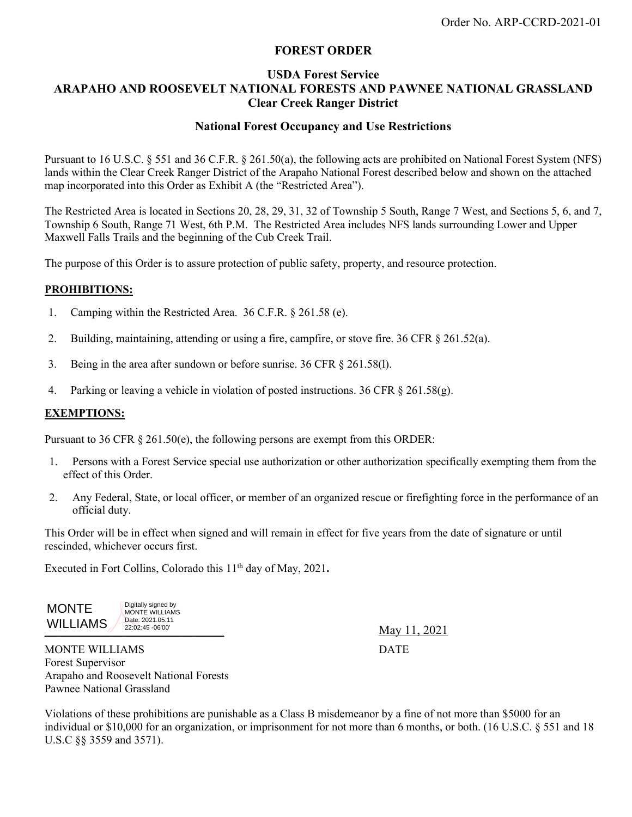# **FOREST ORDER**

## **USDA Forest Service ARAPAHO AND ROOSEVELT NATIONAL FORESTS AND PAWNEE NATIONAL GRASSLAND Clear Creek Ranger District**

### **National Forest Occupancy and Use Restrictions**

Pursuant to 16 U.S.C. § 551 and 36 C.F.R. § 261.50(a), the following acts are prohibited on National Forest System (NFS) lands within the Clear Creek Ranger District of the Arapaho National Forest described below and shown on the attached map incorporated into this Order as Exhibit A (the "Restricted Area").

The Restricted Area is located in Sections 20, 28, 29, 31, 32 of Township 5 South, Range 7 West, and Sections 5, 6, and 7, Township 6 South, Range 71 West, 6th P.M. The Restricted Area includes NFS lands surrounding Lower and Upper Maxwell Falls Trails and the beginning of the Cub Creek Trail.

The purpose of this Order is to assure protection of public safety, property, and resource protection.

### **PROHIBITIONS:**

- 1. Camping within the Restricted Area. 36 C.F.R. § 261.58 (e).
- 2. Building, maintaining, attending or using a fire, campfire, or stove fire.  $36 \text{ CFR } \S 261.52(a)$ .
- 3. Being in the area after sundown or before sunrise. 36 CFR § 261.58(l).
- 4. Parking or leaving a vehicle in violation of posted instructions. 36 CFR § 261.58(g).

#### **EXEMPTIONS:**

Pursuant to 36 CFR  $\S$  261.50(e), the following persons are exempt from this ORDER:

- 1. Persons with a Forest Service special use authorization or other authorization specifically exempting them from the effect of this Order.
- 2. Any Federal, State, or local officer, or member of an organized rescue or firefighting force in the performance of an official duty.

This Order will be in effect when signed and will remain in effect for five years from the date of signature or until rescinded, whichever occurs first.

Executed in Fort Collins, Colorado this 11<sup>th</sup> day of May, 2021.

 MONTE WILLIAMS Digitally signed by MONTE WILLIAMS Date: 2021.05.11 22:02:45 -06'00'

\_\_\_\_\_\_\_\_\_\_\_\_\_\_\_\_\_\_\_\_\_\_\_\_\_\_\_\_\_ May 11, 2021

MONTE WILLIAMS DATE Forest Supervisor Arapaho and Roosevelt National Forests Pawnee National Grassland

Violations of these prohibitions are punishable as a Class B misdemeanor by a fine of not more than \$5000 for an individual or \$10,000 for an organization, or imprisonment for not more than 6 months, or both. (16 U.S.C. § 551 and 18 U.S.C §§ 3559 and 3571).